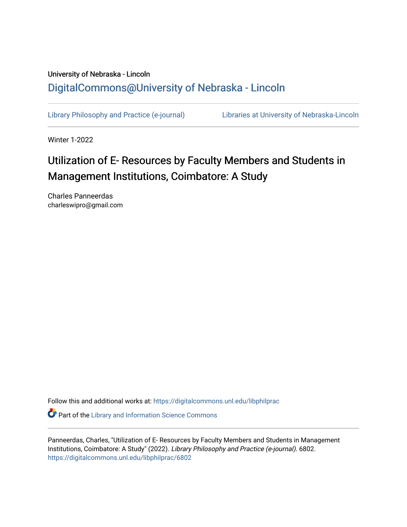## University of Nebraska - Lincoln [DigitalCommons@University of Nebraska - Lincoln](https://digitalcommons.unl.edu/)

[Library Philosophy and Practice \(e-journal\)](https://digitalcommons.unl.edu/libphilprac) [Libraries at University of Nebraska-Lincoln](https://digitalcommons.unl.edu/libraries) 

Winter 1-2022

# Utilization of E- Resources by Faculty Members and Students in Management Institutions, Coimbatore: A Study

Charles Panneerdas charleswipro@gmail.com

Follow this and additional works at: [https://digitalcommons.unl.edu/libphilprac](https://digitalcommons.unl.edu/libphilprac?utm_source=digitalcommons.unl.edu%2Flibphilprac%2F6802&utm_medium=PDF&utm_campaign=PDFCoverPages) 

**C** Part of the Library and Information Science Commons

Panneerdas, Charles, "Utilization of E- Resources by Faculty Members and Students in Management Institutions, Coimbatore: A Study" (2022). Library Philosophy and Practice (e-journal). 6802. [https://digitalcommons.unl.edu/libphilprac/6802](https://digitalcommons.unl.edu/libphilprac/6802?utm_source=digitalcommons.unl.edu%2Flibphilprac%2F6802&utm_medium=PDF&utm_campaign=PDFCoverPages)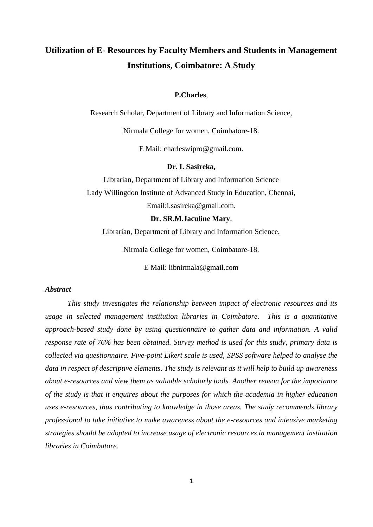## **Utilization of E- Resources by Faculty Members and Students in Management Institutions, Coimbatore: A Study**

#### **P.Charles**,

Research Scholar, Department of Library and Information Science,

Nirmala College for women, Coimbatore-18.

E Mail: charleswipro@gmail.com.

#### **Dr. I. Sasireka,**

Librarian, Department of Library and Information Science Lady Willingdon Institute of Advanced Study in Education, Chennai, Email:i.sasireka@gmail.com.

### **Dr. SR.M.Jaculine Mary**,

Librarian, Department of Library and Information Science,

Nirmala College for women, Coimbatore-18.

E Mail: libnirmala@gmail.com

## *Abstract*

*This study investigates the relationship between impact of electronic resources and its usage in selected management institution libraries in Coimbatore. This is a quantitative approach-based study done by using questionnaire to gather data and information. A valid response rate of 76% has been obtained. Survey method is used for this study, primary data is collected via questionnaire. Five-point Likert scale is used, SPSS software helped to analyse the data in respect of descriptive elements. The study is relevant as it will help to build up awareness about e-resources and view them as valuable scholarly tools. Another reason for the importance of the study is that it enquires about the purposes for which the academia in higher education uses e-resources, thus contributing to knowledge in those areas. The study recommends library professional to take initiative to make awareness about the e-resources and intensive marketing strategies should be adopted to increase usage of electronic resources in management institution libraries in Coimbatore.*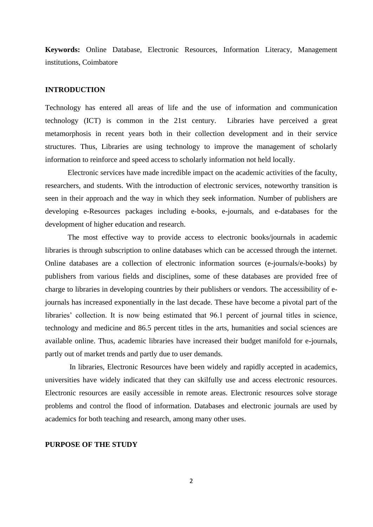**Keywords:** Online Database, Electronic Resources, Information Literacy, Management institutions, Coimbatore

#### **INTRODUCTION**

Technology has entered all areas of life and the use of information and communication technology (ICT) is common in the 21st century. Libraries have perceived a great metamorphosis in recent years both in their collection development and in their service structures. Thus, Libraries are using technology to improve the management of scholarly information to reinforce and speed access to scholarly information not held locally.

Electronic services have made incredible impact on the academic activities of the faculty, researchers, and students. With the introduction of electronic services, noteworthy transition is seen in their approach and the way in which they seek information. Number of publishers are developing e-Resources packages including e-books, e-journals, and e-databases for the development of higher education and research.

The most effective way to provide access to electronic books/journals in academic libraries is through subscription to online databases which can be accessed through the internet. Online databases are a collection of electronic information sources (e-journals/e-books) by publishers from various fields and disciplines, some of these databases are provided free of charge to libraries in developing countries by their publishers or vendors. The accessibility of ejournals has increased exponentially in the last decade. These have become a pivotal part of the libraries' collection. It is now being estimated that 96.1 percent of journal titles in science, technology and medicine and 86.5 percent titles in the arts, humanities and social sciences are available online. Thus, academic libraries have increased their budget manifold for e-journals, partly out of market trends and partly due to user demands.

In libraries, Electronic Resources have been widely and rapidly accepted in academics, universities have widely indicated that they can skilfully use and access electronic resources. Electronic resources are easily accessible in remote areas. Electronic resources solve storage problems and control the flood of information. Databases and electronic journals are used by academics for both teaching and research, among many other uses.

## **PURPOSE OF THE STUDY**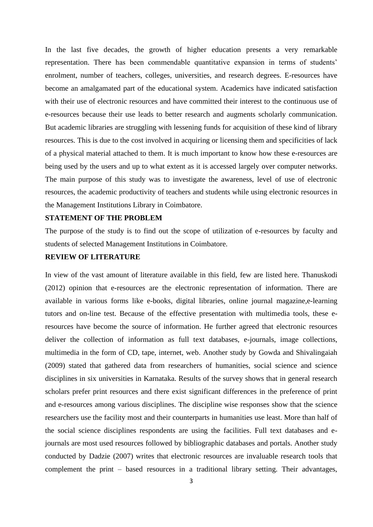In the last five decades, the growth of higher education presents a very remarkable representation. There has been commendable quantitative expansion in terms of students' enrolment, number of teachers, colleges, universities, and research degrees. E-resources have become an amalgamated part of the educational system. Academics have indicated satisfaction with their use of electronic resources and have committed their interest to the continuous use of e-resources because their use leads to better research and augments scholarly communication. But academic libraries are struggling with lessening funds for acquisition of these kind of library resources. This is due to the cost involved in acquiring or licensing them and specificities of lack of a physical material attached to them. It is much important to know how these e-resources are being used by the users and up to what extent as it is accessed largely over computer networks. The main purpose of this study was to investigate the awareness, level of use of electronic resources, the academic productivity of teachers and students while using electronic resources in the Management Institutions Library in Coimbatore.

#### **STATEMENT OF THE PROBLEM**

The purpose of the study is to find out the scope of utilization of e-resources by faculty and students of selected Management Institutions in Coimbatore.

## **REVIEW OF LITERATURE**

In view of the vast amount of literature available in this field, few are listed here. Thanuskodi (2012) opinion that e-resources are the electronic representation of information. There are available in various forms like e-books, digital libraries, online journal magazine,e-learning tutors and on-line test. Because of the effective presentation with multimedia tools, these eresources have become the source of information. He further agreed that electronic resources deliver the collection of information as full text databases, e-journals, image collections, multimedia in the form of CD, tape, internet, web. Another study by Gowda and Shivalingaiah (2009) stated that gathered data from researchers of humanities, social science and science disciplines in six universities in Karnataka. Results of the survey shows that in general research scholars prefer print resources and there exist significant differences in the preference of print and e-resources among various disciplines. The discipline wise responses show that the science researchers use the facility most and their counterparts in humanities use least. More than half of the social science disciplines respondents are using the facilities. Full text databases and ejournals are most used resources followed by bibliographic databases and portals. Another study conducted by Dadzie (2007) writes that electronic resources are invaluable research tools that complement the print – based resources in a traditional library setting. Their advantages,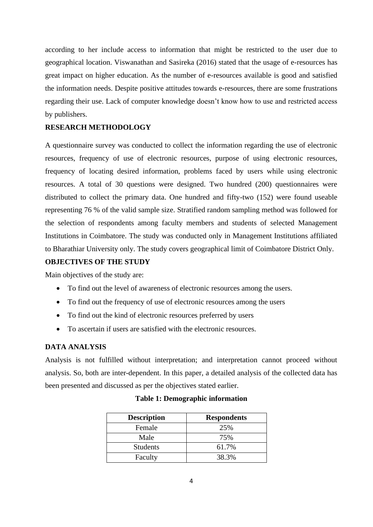according to her include access to information that might be restricted to the user due to geographical location. Viswanathan and Sasireka (2016) stated that the usage of e-resources has great impact on higher education. As the number of e-resources available is good and satisfied the information needs. Despite positive attitudes towards e-resources, there are some frustrations regarding their use. Lack of computer knowledge doesn't know how to use and restricted access by publishers.

## **RESEARCH METHODOLOGY**

A questionnaire survey was conducted to collect the information regarding the use of electronic resources, frequency of use of electronic resources, purpose of using electronic resources, frequency of locating desired information, problems faced by users while using electronic resources. A total of 30 questions were designed. Two hundred (200) questionnaires were distributed to collect the primary data. One hundred and fifty-two (152) were found useable representing 76 % of the valid sample size. Stratified random sampling method was followed for the selection of respondents among faculty members and students of selected Management Institutions in Coimbatore. The study was conducted only in Management Institutions affiliated to Bharathiar University only. The study covers geographical limit of Coimbatore District Only.

#### **OBJECTIVES OF THE STUDY**

Main objectives of the study are:

- To find out the level of awareness of electronic resources among the users.
- To find out the frequency of use of electronic resources among the users
- To find out the kind of electronic resources preferred by users
- To ascertain if users are satisfied with the electronic resources.

## **DATA ANALYSIS**

Analysis is not fulfilled without interpretation; and interpretation cannot proceed without analysis. So, both are inter-dependent. In this paper, a detailed analysis of the collected data has been presented and discussed as per the objectives stated earlier.

| <b>Description</b> | <b>Respondents</b> |  |  |
|--------------------|--------------------|--|--|
| Female             | 25%                |  |  |
| Male               | 75%                |  |  |
| <b>Students</b>    | 61.7%              |  |  |
| Faculty            | 38.3%              |  |  |

#### **Table 1: Demographic information**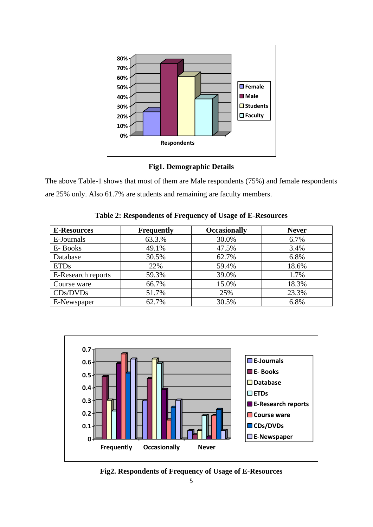

## **Fig1. Demographic Details**

The above Table-1 shows that most of them are Male respondents (75%) and female respondents are 25% only. Also 61.7% are students and remaining are faculty members.

| <b>E-Resources</b> | <b>Frequently</b> | <b>Occasionally</b> | <b>Never</b> |
|--------------------|-------------------|---------------------|--------------|
| E-Journals         | 63.3.%            | 30.0%               | 6.7%         |
| E-Books            | 49.1%             | 47.5%               | 3.4%         |
| Database           | 30.5%             | 62.7%               | 6.8%         |
| <b>ETDs</b>        | 22%               | 59.4%               | 18.6%        |
| E-Research reports | 59.3%             | 39.0%               | 1.7%         |
| Course ware        | 66.7%             | 15.0%               | 18.3%        |
| CDs/DVDs           | 51.7%             | 25%                 | 23.3%        |
| E-Newspaper        | 62.7%             | 30.5%               | 6.8%         |

**Table 2: Respondents of Frequency of Usage of E-Resources**



**Fig2. Respondents of Frequency of Usage of E-Resources**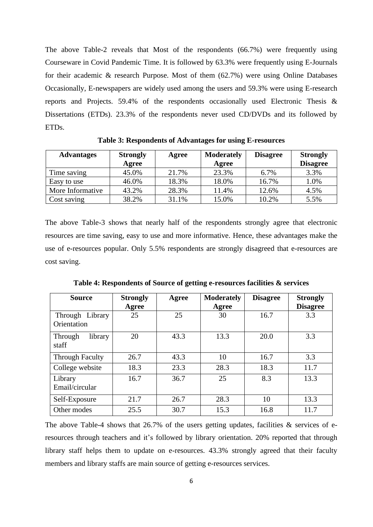The above Table-2 reveals that Most of the respondents (66.7%) were frequently using Courseware in Covid Pandemic Time. It is followed by 63.3% were frequently using E-Journals for their academic & research Purpose. Most of them (62.7%) were using Online Databases Occasionally, E-newspapers are widely used among the users and 59.3% were using E-research reports and Projects. 59.4% of the respondents occasionally used Electronic Thesis & Dissertations (ETDs). 23.3% of the respondents never used CD/DVDs and its followed by ETDs.

| <b>Advantages</b> | <b>Strongly</b> | Agree | <b>Moderately</b> | <b>Disagree</b> | <b>Strongly</b> |
|-------------------|-----------------|-------|-------------------|-----------------|-----------------|
|                   | Agree           |       | Agree             |                 | <b>Disagree</b> |
| Time saving       | 45.0%           | 21.7% | 23.3%             | 6.7%            | 3.3%            |
| Easy to use       | 46.0%           | 18.3% | 18.0%             | 16.7%           | 1.0%            |
| More Informative  | 43.2%           | 28.3% | 11.4%             | 12.6%           | 4.5%            |
| Cost saving       | 38.2%           | 31.1% | 15.0%             | 10.2%           | 5.5%            |

**Table 3: Respondents of Advantages for using E-resources**

The above Table-3 shows that nearly half of the respondents strongly agree that electronic resources are time saving, easy to use and more informative. Hence, these advantages make the use of e-resources popular. Only 5.5% respondents are strongly disagreed that e-resources are cost saving.

| <b>Source</b>                  | <b>Strongly</b><br>Agree | Agree | <b>Moderately</b><br>Agree | <b>Disagree</b> | <b>Strongly</b><br><b>Disagree</b> |
|--------------------------------|--------------------------|-------|----------------------------|-----------------|------------------------------------|
| Through Library<br>Orientation | 25                       | 25    | 30                         | 16.7            | 3.3                                |
| library<br>Through<br>staff    | 20                       | 43.3  | 13.3                       | 20.0            | 3.3                                |
| <b>Through Faculty</b>         | 26.7                     | 43.3  | 10                         | 16.7            | 3.3                                |
| College website                | 18.3                     | 23.3  | 28.3                       | 18.3            | 11.7                               |
| Library<br>Email/circular      | 16.7                     | 36.7  | 25                         | 8.3             | 13.3                               |
| Self-Exposure                  | 21.7                     | 26.7  | 28.3                       | 10              | 13.3                               |
| Other modes                    | 25.5                     | 30.7  | 15.3                       | 16.8            | 11.7                               |

**Table 4: Respondents of Source of getting e-resources facilities & services**

The above Table-4 shows that  $26.7\%$  of the users getting updates, facilities & services of eresources through teachers and it's followed by library orientation. 20% reported that through library staff helps them to update on e-resources. 43.3% strongly agreed that their faculty members and library staffs are main source of getting e-resources services.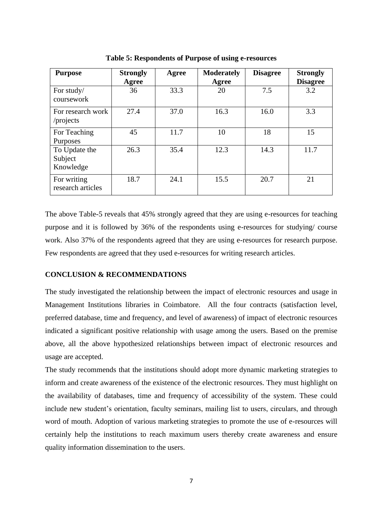| <b>Purpose</b>                        | <b>Strongly</b><br>Agree | Agree | <b>Moderately</b><br>Agree | <b>Disagree</b> | <b>Strongly</b><br><b>Disagree</b> |
|---------------------------------------|--------------------------|-------|----------------------------|-----------------|------------------------------------|
| For study/<br>coursework              | 36                       | 33.3  | 20                         | 7.5             | 3.2                                |
| For research work<br>/projects        | 27.4                     | 37.0  | 16.3                       | 16.0            | 3.3                                |
| For Teaching<br>Purposes              | 45                       | 11.7  | 10                         | 18              | 15                                 |
| To Update the<br>Subject<br>Knowledge | 26.3                     | 35.4  | 12.3                       | 14.3            | 11.7                               |
| For writing<br>research articles      | 18.7                     | 24.1  | 15.5                       | 20.7            | 21                                 |

**Table 5: Respondents of Purpose of using e-resources**

The above Table-5 reveals that 45% strongly agreed that they are using e-resources for teaching purpose and it is followed by 36% of the respondents using e-resources for studying/ course work. Also 37% of the respondents agreed that they are using e-resources for research purpose. Few respondents are agreed that they used e-resources for writing research articles.

#### **CONCLUSION & RECOMMENDATIONS**

The study investigated the relationship between the impact of electronic resources and usage in Management Institutions libraries in Coimbatore. All the four contracts (satisfaction level, preferred database, time and frequency, and level of awareness) of impact of electronic resources indicated a significant positive relationship with usage among the users. Based on the premise above, all the above hypothesized relationships between impact of electronic resources and usage are accepted.

The study recommends that the institutions should adopt more dynamic marketing strategies to inform and create awareness of the existence of the electronic resources. They must highlight on the availability of databases, time and frequency of accessibility of the system. These could include new student's orientation, faculty seminars, mailing list to users, circulars, and through word of mouth. Adoption of various marketing strategies to promote the use of e-resources will certainly help the institutions to reach maximum users thereby create awareness and ensure quality information dissemination to the users.